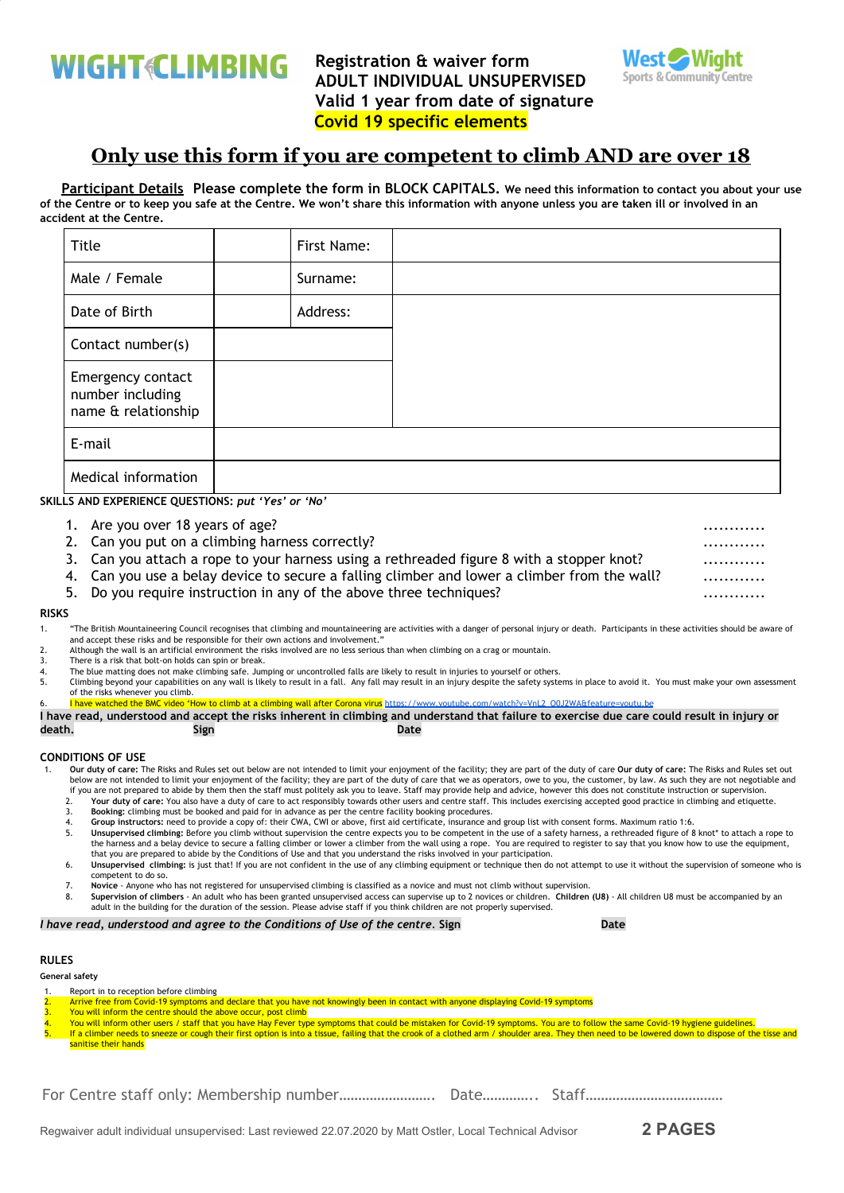**WIGHT CLIMBING** 

**Registration & waiver form ADULT INDIVIDUAL UNSUPERVISED Valid 1 year from date of signature Covid 19 specific elements**



# **Only use this form if you are competent to climb AND are over 18**

Participant Details Please complete the form in BLOCK CAPITALS. We need this information to contact you about your use of the Centre or to keep you safe at the Centre. We won't share this information with anyone unless you are taken ill or involved in an **accident at the Centre.**

| Title                                                        | First Name: |
|--------------------------------------------------------------|-------------|
| Male / Female                                                | Surname:    |
| Date of Birth                                                | Address:    |
| Contact number(s)                                            |             |
| Emergency contact<br>number including<br>name & relationship |             |
| E-mail                                                       |             |
| Medical information                                          |             |

**SKILLS AND EXPERIENCE QUESTIONS:** *put 'Yes' or 'No'*

- 1. Are you over 18 years of age? ............
- 2. Can you put on a climbing harness correctly? ............
- 3. Can you attach a rope to your harness using a rethreaded figure 8 with a stopper knot?
- 4. Can you use a belay device to secure a falling climber and lower a climber from the wall? ................

5. Do you require instruction in any of the above three techniques? ............

### **RISKS**

- 1. "The British Mountaineering Council recognises that climbing and mountaineering are activities with a danger of personal injury or death. Participants in these activities should be aware of and accept these risks and be responsible for their own actions and involvement."
- 2. Although the wall is an artificial environment the risks involved are no less serious than when climbing on a crag or mountain.
- 3. There is a risk that bolt-on holds can spin or break.<br>4. The blue matting does not make climbing safe. Jum
- 4. The blue matting does not make climbing safe. Jumping or uncontrolled falls are likely to result in injuries to yourself or others.<br>5. Climbing beyond your capabilities on any wall is likely to result in a fall. Any fal 5. Climbing beyond your capabilities on any wall is likely to result in a fall. Any fall may result in an injury despite the safety systems in place to avoid it. You must make your own assessment
- of the risks whenever you climb.
	- w to climb at a climbing wall after Corona virus https://www.youtube.com/watch?v=VnL2\_O0J2WA&feature=

I have read, understood and accept the risks inherent in climbing and understand that failure to exercise due care could result in injury or **death. Sign Date**

## **CONDITIONS OF USE**

- 1. **Our duty of care:** The Risks and Rules set out below are not intended to limit your enjoyment of the facility; they are part of the duty of care **Our duty of care:** The Risks and Rules set out below are not intended to limit your enjoyment of the facility; they are part of the duty of care that we as operators, owe to you, the customer, by law. As such they are not negotiable and if you are not prepared to abide by them then the staff must politely ask you to leave. Staff may provide help and advice, however this does not constitute instruction or supervision.
	- 2. **Your duty of care:** You also have a duty of care to act responsibly towards other users and centre staff. This includes exercising accepted good practice in climbing and etiquette.
	- 3. **Booking:** climbing must be booked and paid for in advance as per the centre facility booking procedures.
	- 4. **Group instructors:** need to provide a copy of: their CWA, CWI or above, first aid certificate, insurance and group list with consent forms. Maximum ratio 1:6.
	- 5. **Unsupervised climbing:** Before you climb without supervision the centre expects you to be competent in the use of a safety harness, a rethreaded figure of 8 knot\* to attach a rope to the harness and a belay device to secure a falling climber or lower a climber from the wall using a rope. You are required to register to say that you know how to use the equipment, that you are prepared to abide by the Conditions of Use and that you understand the risks involved in your participation.
	- 6. **Unsupervised climbing:** is just that! If you are not confident in the use of any climbing equipment or technique then do not attempt to use it without the supervision of someone who is competent to do so.
	- 7. **Novice**  Anyone who has not registered for unsupervised climbing is classified as a novice and must not climb without supervision.
	- 8. Supervision of climbers An adult who has been granted unsupervised access can supervise up to 2 novices or children. Children (U8) All children U8 must be accompanied by an<br>adult in the building for the duration of

### *I have read, understood and agree to the Conditions of Use of the centre.* **Sign Date**

# **RULES**

**General safety**

- 1. Report in to reception before climbing
- 2. Arrive free from Covid-19 symptoms and declare that you have not knowingly been in contact with anyone displaying Covid-19 symptoms<br>3. You will inform the centre should the above occur, nost climb
- 
- 3. You will inform the centre should the above occur, post climb<br>4. You will inform other users / staff that you have Hay Fever type symptoms that could be mistaken for Covid-19 symptoms. You are to follow the same Covid-1 If a climber needs to sneeze or cough their first option is into a tissue, failing that the crook of a clothed arm / shoulder area. They then need to be lowered down to dispose of the tisse and sanitise their hands

For Centre staff only: Membership number……………………. Date………….. Staff………………………………